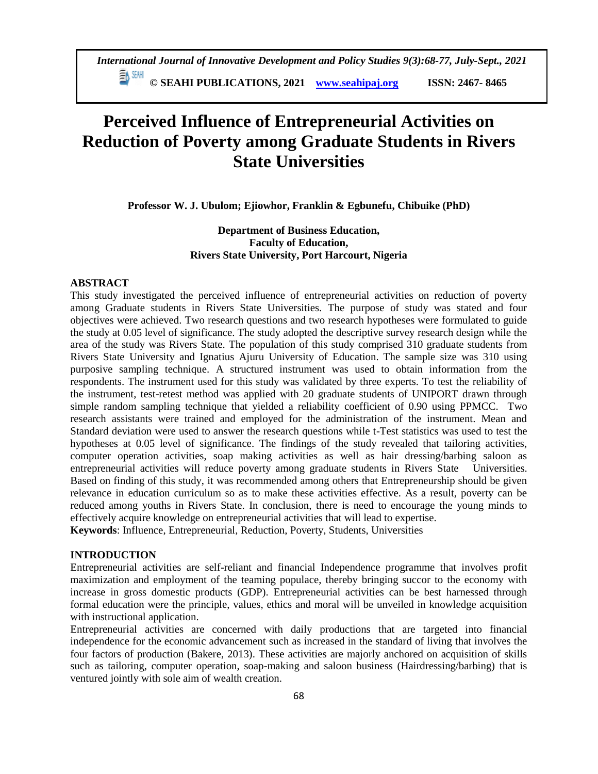**© SEAHI PUBLICATIONS, 2021 [www.seahipaj.org](http://www.seahipaj.org/) ISSN: 2467- 8465**

# **Perceived Influence of Entrepreneurial Activities on Reduction of Poverty among Graduate Students in Rivers State Universities**

**Professor W. J. Ubulom; Ejiowhor, Franklin & Egbunefu, Chibuike (PhD)**

**Department of Business Education, Faculty of Education, Rivers State University, Port Harcourt, Nigeria**

### **ABSTRACT**

This study investigated the perceived influence of entrepreneurial activities on reduction of poverty among Graduate students in Rivers State Universities. The purpose of study was stated and four objectives were achieved. Two research questions and two research hypotheses were formulated to guide the study at 0.05 level of significance. The study adopted the descriptive survey research design while the area of the study was Rivers State. The population of this study comprised 310 graduate students from Rivers State University and Ignatius Ajuru University of Education. The sample size was 310 using purposive sampling technique. A structured instrument was used to obtain information from the respondents. The instrument used for this study was validated by three experts. To test the reliability of the instrument, test-retest method was applied with 20 graduate students of UNIPORT drawn through simple random sampling technique that yielded a reliability coefficient of 0.90 using PPMCC. Two research assistants were trained and employed for the administration of the instrument. Mean and Standard deviation were used to answer the research questions while t-Test statistics was used to test the hypotheses at 0.05 level of significance. The findings of the study revealed that tailoring activities, computer operation activities, soap making activities as well as hair dressing/barbing saloon as entrepreneurial activities will reduce poverty among graduate students in Rivers State Universities. Based on finding of this study, it was recommended among others that Entrepreneurship should be given relevance in education curriculum so as to make these activities effective. As a result, poverty can be reduced among youths in Rivers State. In conclusion, there is need to encourage the young minds to effectively acquire knowledge on entrepreneurial activities that will lead to expertise.

**Keywords**: Influence, Entrepreneurial, Reduction, Poverty, Students, Universities

# **INTRODUCTION**

Entrepreneurial activities are self-reliant and financial Independence programme that involves profit maximization and employment of the teaming populace, thereby bringing succor to the economy with increase in gross domestic products (GDP). Entrepreneurial activities can be best harnessed through formal education were the principle, values, ethics and moral will be unveiled in knowledge acquisition with instructional application.

Entrepreneurial activities are concerned with daily productions that are targeted into financial independence for the economic advancement such as increased in the standard of living that involves the four factors of production (Bakere, 2013). These activities are majorly anchored on acquisition of skills such as tailoring, computer operation, soap-making and saloon business (Hairdressing/barbing) that is ventured jointly with sole aim of wealth creation.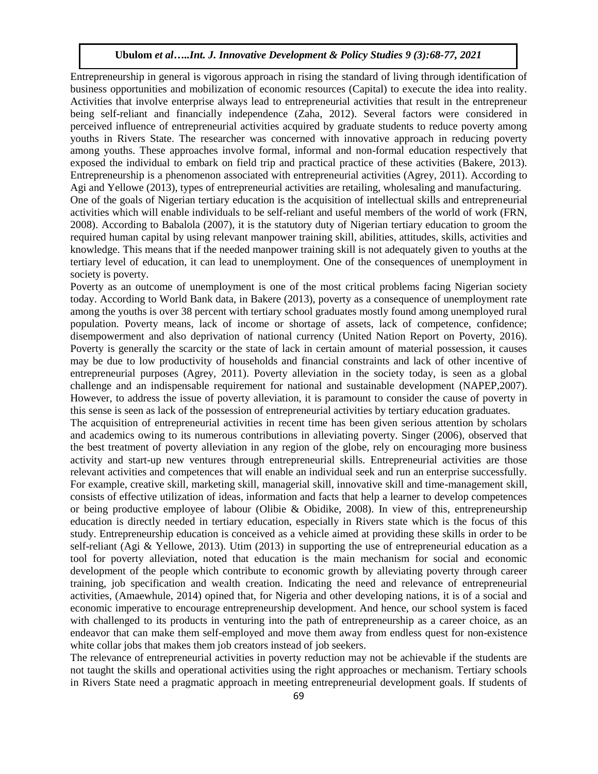Entrepreneurship in general is vigorous approach in rising the standard of living through identification of business opportunities and mobilization of economic resources (Capital) to execute the idea into reality. Activities that involve enterprise always lead to entrepreneurial activities that result in the entrepreneur being self-reliant and financially independence (Zaha, 2012). Several factors were considered in perceived influence of entrepreneurial activities acquired by graduate students to reduce poverty among youths in Rivers State. The researcher was concerned with innovative approach in reducing poverty among youths. These approaches involve formal, informal and non-formal education respectively that exposed the individual to embark on field trip and practical practice of these activities (Bakere, 2013). Entrepreneurship is a phenomenon associated with entrepreneurial activities (Agrey, 2011). According to Agi and Yellowe (2013), types of entrepreneurial activities are retailing, wholesaling and manufacturing. One of the goals of Nigerian tertiary education is the acquisition of intellectual skills and entrepreneurial activities which will enable individuals to be self-reliant and useful members of the world of work (FRN, 2008). According to Babalola (2007), it is the statutory duty of Nigerian tertiary education to groom the required human capital by using relevant manpower training skill, abilities, attitudes, skills, activities and knowledge. This means that if the needed manpower training skill is not adequately given to youths at the

tertiary level of education, it can lead to unemployment. One of the consequences of unemployment in society is poverty.

Poverty as an outcome of unemployment is one of the most critical problems facing Nigerian society today. According to World Bank data, in Bakere (2013), poverty as a consequence of unemployment rate among the youths is over 38 percent with tertiary school graduates mostly found among unemployed rural population. Poverty means, lack of income or shortage of assets, lack of competence, confidence; disempowerment and also deprivation of national currency (United Nation Report on Poverty, 2016). Poverty is generally the scarcity or the state of lack in certain amount of material possession, it causes may be due to low productivity of households and financial constraints and lack of other incentive of entrepreneurial purposes (Agrey, 2011). Poverty alleviation in the society today, is seen as a global challenge and an indispensable requirement for national and sustainable development (NAPEP,2007). However, to address the issue of poverty alleviation, it is paramount to consider the cause of poverty in this sense is seen as lack of the possession of entrepreneurial activities by tertiary education graduates.

The acquisition of entrepreneurial activities in recent time has been given serious attention by scholars and academics owing to its numerous contributions in alleviating poverty. Singer (2006), observed that the best treatment of poverty alleviation in any region of the globe, rely on encouraging more business activity and start-up new ventures through entrepreneurial skills. Entrepreneurial activities are those relevant activities and competences that will enable an individual seek and run an enterprise successfully. For example, creative skill, marketing skill, managerial skill, innovative skill and time-management skill, consists of effective utilization of ideas, information and facts that help a learner to develop competences or being productive employee of labour (Olibie & Obidike, 2008). In view of this, entrepreneurship education is directly needed in tertiary education, especially in Rivers state which is the focus of this study. Entrepreneurship education is conceived as a vehicle aimed at providing these skills in order to be self-reliant (Agi & Yellowe, 2013). Utim (2013) in supporting the use of entrepreneurial education as a tool for poverty alleviation, noted that education is the main mechanism for social and economic development of the people which contribute to economic growth by alleviating poverty through career training, job specification and wealth creation. Indicating the need and relevance of entrepreneurial activities, (Amaewhule, 2014) opined that, for Nigeria and other developing nations, it is of a social and economic imperative to encourage entrepreneurship development. And hence, our school system is faced with challenged to its products in venturing into the path of entrepreneurship as a career choice, as an endeavor that can make them self-employed and move them away from endless quest for non-existence white collar jobs that makes them job creators instead of job seekers.

The relevance of entrepreneurial activities in poverty reduction may not be achievable if the students are not taught the skills and operational activities using the right approaches or mechanism. Tertiary schools in Rivers State need a pragmatic approach in meeting entrepreneurial development goals. If students of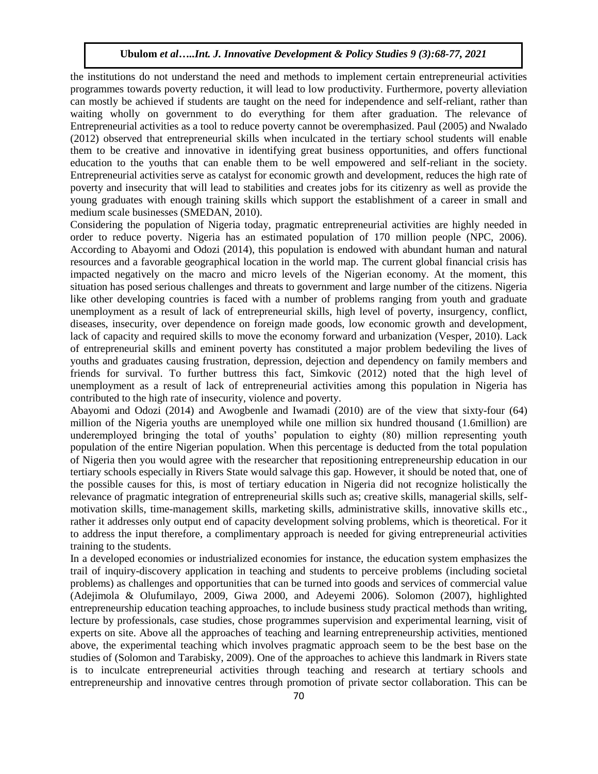the institutions do not understand the need and methods to implement certain entrepreneurial activities programmes towards poverty reduction, it will lead to low productivity. Furthermore, poverty alleviation can mostly be achieved if students are taught on the need for independence and self-reliant, rather than waiting wholly on government to do everything for them after graduation. The relevance of Entrepreneurial activities as a tool to reduce poverty cannot be overemphasized. Paul (2005) and Nwalado (2012) observed that entrepreneurial skills when inculcated in the tertiary school students will enable them to be creative and innovative in identifying great business opportunities, and offers functional education to the youths that can enable them to be well empowered and self-reliant in the society. Entrepreneurial activities serve as catalyst for economic growth and development, reduces the high rate of poverty and insecurity that will lead to stabilities and creates jobs for its citizenry as well as provide the young graduates with enough training skills which support the establishment of a career in small and medium scale businesses (SMEDAN, 2010).

Considering the population of Nigeria today, pragmatic entrepreneurial activities are highly needed in order to reduce poverty. Nigeria has an estimated population of 170 million people (NPC, 2006). According to Abayomi and Odozi (2014), this population is endowed with abundant human and natural resources and a favorable geographical location in the world map. The current global financial crisis has impacted negatively on the macro and micro levels of the Nigerian economy. At the moment, this situation has posed serious challenges and threats to government and large number of the citizens. Nigeria like other developing countries is faced with a number of problems ranging from youth and graduate unemployment as a result of lack of entrepreneurial skills, high level of poverty, insurgency, conflict, diseases, insecurity, over dependence on foreign made goods, low economic growth and development, lack of capacity and required skills to move the economy forward and urbanization (Vesper, 2010). Lack of entrepreneurial skills and eminent poverty has constituted a major problem bedeviling the lives of youths and graduates causing frustration, depression, dejection and dependency on family members and friends for survival. To further buttress this fact, Simkovic (2012) noted that the high level of unemployment as a result of lack of entrepreneurial activities among this population in Nigeria has contributed to the high rate of insecurity, violence and poverty.

Abayomi and Odozi (2014) and Awogbenle and Iwamadi (2010) are of the view that sixty-four (64) million of the Nigeria youths are unemployed while one million six hundred thousand (1.6million) are underemployed bringing the total of youths' population to eighty (80) million representing youth population of the entire Nigerian population. When this percentage is deducted from the total population of Nigeria then you would agree with the researcher that repositioning entrepreneurship education in our tertiary schools especially in Rivers State would salvage this gap. However, it should be noted that, one of the possible causes for this, is most of tertiary education in Nigeria did not recognize holistically the relevance of pragmatic integration of entrepreneurial skills such as; creative skills, managerial skills, selfmotivation skills, time-management skills, marketing skills, administrative skills, innovative skills etc., rather it addresses only output end of capacity development solving problems, which is theoretical. For it to address the input therefore, a complimentary approach is needed for giving entrepreneurial activities training to the students.

In a developed economies or industrialized economies for instance, the education system emphasizes the trail of inquiry-discovery application in teaching and students to perceive problems (including societal problems) as challenges and opportunities that can be turned into goods and services of commercial value (Adejimola & Olufumilayo, 2009, Giwa 2000, and Adeyemi 2006). Solomon (2007), highlighted entrepreneurship education teaching approaches, to include business study practical methods than writing, lecture by professionals, case studies, chose programmes supervision and experimental learning, visit of experts on site. Above all the approaches of teaching and learning entrepreneurship activities, mentioned above, the experimental teaching which involves pragmatic approach seem to be the best base on the studies of (Solomon and Tarabisky, 2009). One of the approaches to achieve this landmark in Rivers state is to inculcate entrepreneurial activities through teaching and research at tertiary schools and entrepreneurship and innovative centres through promotion of private sector collaboration. This can be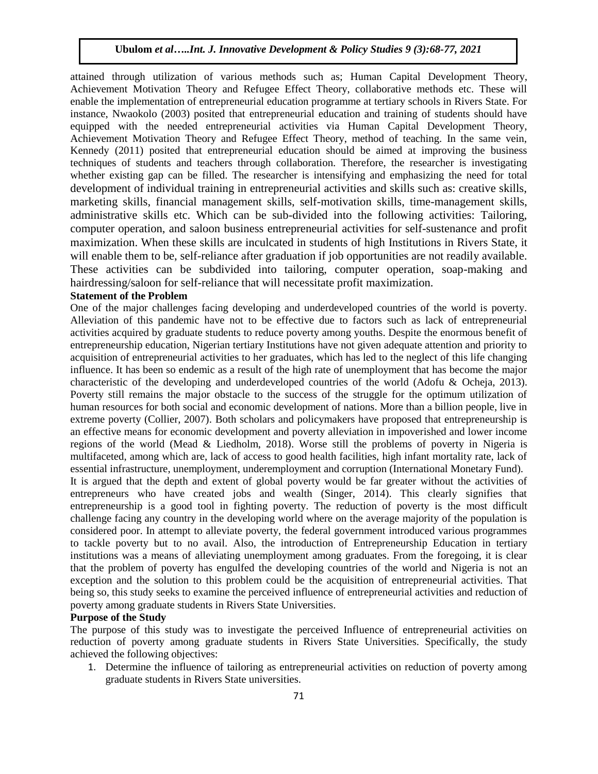attained through utilization of various methods such as; Human Capital Development Theory, Achievement Motivation Theory and Refugee Effect Theory, collaborative methods etc. These will enable the implementation of entrepreneurial education programme at tertiary schools in Rivers State. For instance, Nwaokolo (2003) posited that entrepreneurial education and training of students should have equipped with the needed entrepreneurial activities via Human Capital Development Theory, Achievement Motivation Theory and Refugee Effect Theory, method of teaching. In the same vein, Kennedy (2011) posited that entrepreneurial education should be aimed at improving the business techniques of students and teachers through collaboration. Therefore, the researcher is investigating whether existing gap can be filled. The researcher is intensifying and emphasizing the need for total development of individual training in entrepreneurial activities and skills such as: creative skills, marketing skills, financial management skills, self-motivation skills, time-management skills, administrative skills etc. Which can be sub-divided into the following activities: Tailoring, computer operation, and saloon business entrepreneurial activities for self-sustenance and profit maximization. When these skills are inculcated in students of high Institutions in Rivers State, it will enable them to be, self-reliance after graduation if job opportunities are not readily available. These activities can be subdivided into tailoring, computer operation, soap-making and hairdressing/saloon for self-reliance that will necessitate profit maximization.

## **Statement of the Problem**

One of the major challenges facing developing and underdeveloped countries of the world is poverty. Alleviation of this pandemic have not to be effective due to factors such as lack of entrepreneurial activities acquired by graduate students to reduce poverty among youths. Despite the enormous benefit of entrepreneurship education, Nigerian tertiary Institutions have not given adequate attention and priority to acquisition of entrepreneurial activities to her graduates, which has led to the neglect of this life changing influence. It has been so endemic as a result of the high rate of unemployment that has become the major characteristic of the developing and underdeveloped countries of the world (Adofu & Ocheja, 2013). Poverty still remains the major obstacle to the success of the struggle for the optimum utilization of human resources for both social and economic development of nations. More than a billion people, live in extreme poverty (Collier, 2007). Both scholars and policymakers have proposed that entrepreneurship is an effective means for economic development and poverty alleviation in impoverished and lower income regions of the world (Mead & Liedholm, 2018). Worse still the problems of poverty in Nigeria is multifaceted, among which are, lack of access to good health facilities, high infant mortality rate, lack of essential infrastructure, unemployment, underemployment and corruption (International Monetary Fund). It is argued that the depth and extent of global poverty would be far greater without the activities of entrepreneurs who have created jobs and wealth (Singer, 2014). This clearly signifies that entrepreneurship is a good tool in fighting poverty. The reduction of poverty is the most difficult challenge facing any country in the developing world where on the average majority of the population is

considered poor. In attempt to alleviate poverty, the federal government introduced various programmes to tackle poverty but to no avail. Also, the introduction of Entrepreneurship Education in tertiary institutions was a means of alleviating unemployment among graduates. From the foregoing, it is clear that the problem of poverty has engulfed the developing countries of the world and Nigeria is not an exception and the solution to this problem could be the acquisition of entrepreneurial activities. That being so, this study seeks to examine the perceived influence of entrepreneurial activities and reduction of poverty among graduate students in Rivers State Universities.

#### **Purpose of the Study**

The purpose of this study was to investigate the perceived Influence of entrepreneurial activities on reduction of poverty among graduate students in Rivers State Universities. Specifically, the study achieved the following objectives:

1. Determine the influence of tailoring as entrepreneurial activities on reduction of poverty among graduate students in Rivers State universities.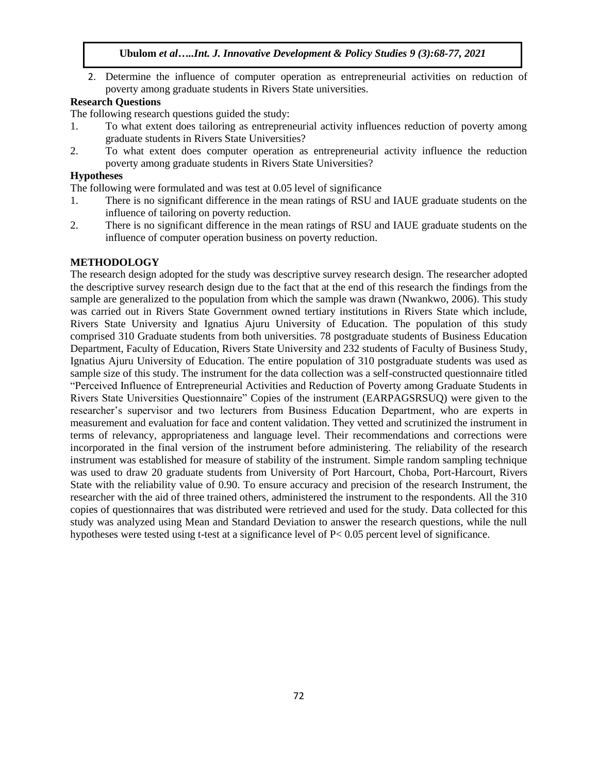2. Determine the influence of computer operation as entrepreneurial activities on reduction of poverty among graduate students in Rivers State universities.

# **Research Questions**

The following research questions guided the study:

- 1. To what extent does tailoring as entrepreneurial activity influences reduction of poverty among graduate students in Rivers State Universities?
- 2. To what extent does computer operation as entrepreneurial activity influence the reduction poverty among graduate students in Rivers State Universities?

## **Hypotheses**

The following were formulated and was test at 0.05 level of significance

- 1. There is no significant difference in the mean ratings of RSU and IAUE graduate students on the influence of tailoring on poverty reduction.
- 2. There is no significant difference in the mean ratings of RSU and IAUE graduate students on the influence of computer operation business on poverty reduction.

#### **METHODOLOGY**

The research design adopted for the study was descriptive survey research design. The researcher adopted the descriptive survey research design due to the fact that at the end of this research the findings from the sample are generalized to the population from which the sample was drawn (Nwankwo, 2006). This study was carried out in Rivers State Government owned tertiary institutions in Rivers State which include, Rivers State University and Ignatius Ajuru University of Education. The population of this study comprised 310 Graduate students from both universities. 78 postgraduate students of Business Education Department, Faculty of Education, Rivers State University and 232 students of Faculty of Business Study, Ignatius Ajuru University of Education. The entire population of 310 postgraduate students was used as sample size of this study. The instrument for the data collection was a self-constructed questionnaire titled "Perceived Influence of Entrepreneurial Activities and Reduction of Poverty among Graduate Students in Rivers State Universities Questionnaire" Copies of the instrument (EARPAGSRSUQ) were given to the researcher's supervisor and two lecturers from Business Education Department, who are experts in measurement and evaluation for face and content validation. They vetted and scrutinized the instrument in terms of relevancy, appropriateness and language level. Their recommendations and corrections were incorporated in the final version of the instrument before administering. The reliability of the research instrument was established for measure of stability of the instrument. Simple random sampling technique was used to draw 20 graduate students from University of Port Harcourt, Choba, Port-Harcourt, Rivers State with the reliability value of 0.90. To ensure accuracy and precision of the research Instrument, the researcher with the aid of three trained others, administered the instrument to the respondents. All the 310 copies of questionnaires that was distributed were retrieved and used for the study. Data collected for this study was analyzed using Mean and Standard Deviation to answer the research questions, while the null hypotheses were tested using t-test at a significance level of P< 0.05 percent level of significance.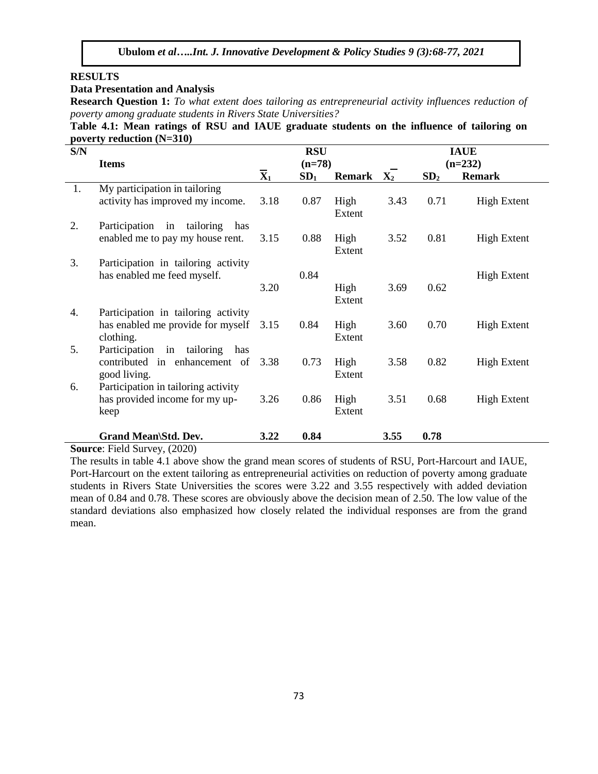#### **RESULTS**

# **Data Presentation and Analysis**

**Research Question 1:** *To what extent does tailoring as entrepreneurial activity influences reduction of poverty among graduate students in Rivers State Universities?*

**Table 4.1: Mean ratings of RSU and IAUE graduate students on the influence of tailoring on poverty reduction (N=310)**

| S/N |                                                                                          |                           | <b>RSU</b>      |                |                | <b>IAUE</b>     |                    |  |  |
|-----|------------------------------------------------------------------------------------------|---------------------------|-----------------|----------------|----------------|-----------------|--------------------|--|--|
|     | <b>Items</b>                                                                             |                           | $(n=78)$        |                |                | $(n=232)$       |                    |  |  |
|     |                                                                                          | $\overline{\mathbf{X}}_1$ | SD <sub>1</sub> | <b>Remark</b>  | $\mathbf{X}_2$ | SD <sub>2</sub> | <b>Remark</b>      |  |  |
| 1.  | My participation in tailoring<br>activity has improved my income.                        | 3.18                      | 0.87            | High<br>Extent | 3.43           | 0.71            | <b>High Extent</b> |  |  |
| 2.  | Participation<br>tailoring<br>in<br>has<br>enabled me to pay my house rent.              | 3.15                      | 0.88            | High<br>Extent | 3.52           | 0.81            | <b>High Extent</b> |  |  |
| 3.  | Participation in tailoring activity<br>has enabled me feed myself.                       | 3.20                      | 0.84            | High<br>Extent | 3.69           | 0.62            | <b>High Extent</b> |  |  |
| 4.  | Participation in tailoring activity<br>has enabled me provide for myself<br>clothing.    | 3.15                      | 0.84            | High<br>Extent | 3.60           | 0.70            | <b>High Extent</b> |  |  |
| 5.  | Participation<br>in<br>tailoring<br>has<br>contributed in enhancement of<br>good living. | 3.38                      | 0.73            | High<br>Extent | 3.58           | 0.82            | <b>High Extent</b> |  |  |
| 6.  | Participation in tailoring activity<br>has provided income for my up-<br>keep            | 3.26                      | 0.86            | High<br>Extent | 3.51           | 0.68            | <b>High Extent</b> |  |  |
|     | Grand Mean\Std. Dev.                                                                     | 3.22                      | 0.84            |                | 3.55           | 0.78            |                    |  |  |

**Source**: Field Survey, (2020)

The results in table 4.1 above show the grand mean scores of students of RSU, Port-Harcourt and IAUE, Port-Harcourt on the extent tailoring as entrepreneurial activities on reduction of poverty among graduate students in Rivers State Universities the scores were 3.22 and 3.55 respectively with added deviation mean of 0.84 and 0.78. These scores are obviously above the decision mean of 2.50. The low value of the standard deviations also emphasized how closely related the individual responses are from the grand mean.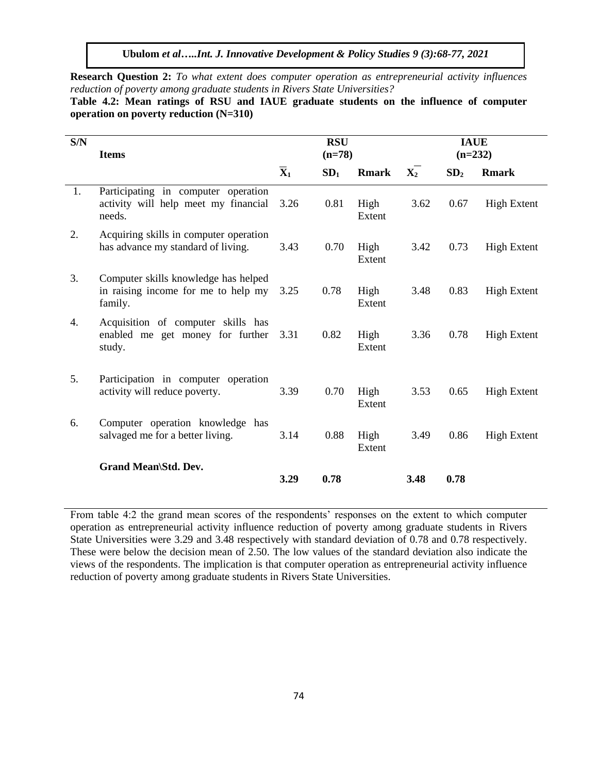**Research Question 2:** *To what extent does computer operation as entrepreneurial activity influences reduction of poverty among graduate students in Rivers State Universities?* 

|  |                                          |  |  |  |  |  | Table 4.2: Mean ratings of RSU and IAUE graduate students on the influence of computer |
|--|------------------------------------------|--|--|--|--|--|----------------------------------------------------------------------------------------|
|  | operation on poverty reduction $(N=310)$ |  |  |  |  |  |                                                                                        |

| S/N | <b>Items</b>                                                                           |                           | <b>RSU</b><br>$(n=78)$ |                | <b>IAUE</b><br>$(n=232)$ |                 |                    |  |
|-----|----------------------------------------------------------------------------------------|---------------------------|------------------------|----------------|--------------------------|-----------------|--------------------|--|
|     |                                                                                        | $\overline{\mathbf{X}}_1$ | SD <sub>1</sub>        | <b>Rmark</b>   | $\mathbf{X}_2$           | SD <sub>2</sub> | <b>Rmark</b>       |  |
| 1.  | Participating in computer operation<br>activity will help meet my financial<br>needs.  | 3.26                      | 0.81                   | High<br>Extent | 3.62                     | 0.67            | <b>High Extent</b> |  |
| 2.  | Acquiring skills in computer operation<br>has advance my standard of living.           | 3.43                      | 0.70                   | High<br>Extent | 3.42                     | 0.73            | <b>High Extent</b> |  |
| 3.  | Computer skills knowledge has helped<br>in raising income for me to help my<br>family. | 3.25                      | 0.78                   | High<br>Extent | 3.48                     | 0.83            | <b>High Extent</b> |  |
| 4.  | Acquisition of computer skills has<br>enabled me get money for further<br>study.       | 3.31                      | 0.82                   | High<br>Extent | 3.36                     | 0.78            | <b>High Extent</b> |  |
| 5.  | Participation in computer operation<br>activity will reduce poverty.                   | 3.39                      | 0.70                   | High<br>Extent | 3.53                     | 0.65            | <b>High Extent</b> |  |
| 6.  | Computer operation knowledge has<br>salvaged me for a better living.                   | 3.14                      | 0.88                   | High<br>Extent | 3.49                     | 0.86            | <b>High Extent</b> |  |
|     | Grand Mean\Std. Dev.                                                                   | 3.29                      | 0.78                   |                | 3.48                     | 0.78            |                    |  |

From table 4:2 the grand mean scores of the respondents' responses on the extent to which computer operation as entrepreneurial activity influence reduction of poverty among graduate students in Rivers State Universities were 3.29 and 3.48 respectively with standard deviation of 0.78 and 0.78 respectively. These were below the decision mean of 2.50. The low values of the standard deviation also indicate the views of the respondents. The implication is that computer operation as entrepreneurial activity influence reduction of poverty among graduate students in Rivers State Universities.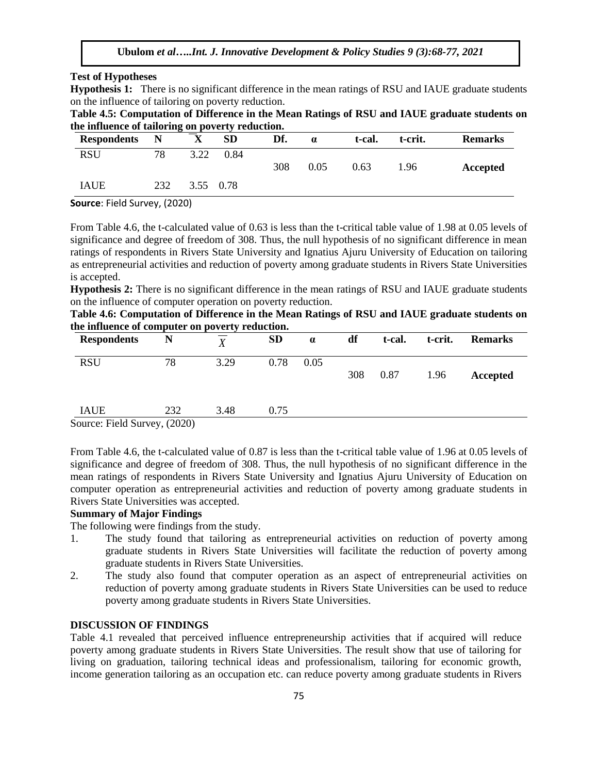#### **Test of Hypotheses**

**Hypothesis 1:** There is no significant difference in the mean ratings of RSU and IAUE graduate students on the influence of tailoring on poverty reduction.

| Table 4.5: Computation of Difference in the Mean Ratings of RSU and IAUE graduate students on |  |
|-----------------------------------------------------------------------------------------------|--|
| the influence of tailoring on poverty reduction.                                              |  |

| <b>Respondents</b> | N   |           | <b>SD</b> | Df. | $\alpha$ | t-cal. | t-crit. | <b>Remarks</b> |
|--------------------|-----|-----------|-----------|-----|----------|--------|---------|----------------|
| <b>RSU</b>         | 78  | 3.22      | 0.84      |     |          |        |         |                |
|                    |     |           |           | 308 | 0.05     | 0.63   | 1.96    | Accepted       |
| <b>IAUE</b>        | 232 | 3.55 0.78 |           |     |          |        |         |                |
|                    |     |           |           |     |          |        |         |                |

**Source**: Field Survey, (2020)

From Table 4.6, the t-calculated value of 0.63 is less than the t-critical table value of 1.98 at 0.05 levels of significance and degree of freedom of 308. Thus, the null hypothesis of no significant difference in mean ratings of respondents in Rivers State University and Ignatius Ajuru University of Education on tailoring as entrepreneurial activities and reduction of poverty among graduate students in Rivers State Universities is accepted.

**Hypothesis 2:** There is no significant difference in the mean ratings of RSU and IAUE graduate students on the influence of computer operation on poverty reduction.

**Table 4.6: Computation of Difference in the Mean Ratings of RSU and IAUE graduate students on the influence of computer on poverty reduction.**

| <b>Respondents</b>                           | N   | v    | <b>SD</b> | $\alpha$ | df  | t-cal. | t-crit. | <b>Remarks</b> |
|----------------------------------------------|-----|------|-----------|----------|-----|--------|---------|----------------|
| <b>RSU</b>                                   | 78  | 3.29 | 0.78      | 0.05     |     |        |         |                |
|                                              |     |      |           |          | 308 | 0.87   | 1.96    | Accepted       |
|                                              |     |      |           |          |     |        |         |                |
| <b>IAUE</b>                                  | 232 | 3.48 | 0.75      |          |     |        |         |                |
| $\text{Source}$ Field $\text{Suryay}$ (2020) |     |      |           |          |     |        |         |                |

Source: Field Survey, (2020)

From Table 4.6, the t-calculated value of 0.87 is less than the t-critical table value of 1.96 at 0.05 levels of significance and degree of freedom of 308. Thus, the null hypothesis of no significant difference in the mean ratings of respondents in Rivers State University and Ignatius Ajuru University of Education on computer operation as entrepreneurial activities and reduction of poverty among graduate students in Rivers State Universities was accepted.

## **Summary of Major Findings**

The following were findings from the study.

- 1. The study found that tailoring as entrepreneurial activities on reduction of poverty among graduate students in Rivers State Universities will facilitate the reduction of poverty among graduate students in Rivers State Universities.
- 2. The study also found that computer operation as an aspect of entrepreneurial activities on reduction of poverty among graduate students in Rivers State Universities can be used to reduce poverty among graduate students in Rivers State Universities.

## **DISCUSSION OF FINDINGS**

Table 4.1 revealed that perceived influence entrepreneurship activities that if acquired will reduce poverty among graduate students in Rivers State Universities. The result show that use of tailoring for living on graduation, tailoring technical ideas and professionalism, tailoring for economic growth, income generation tailoring as an occupation etc. can reduce poverty among graduate students in Rivers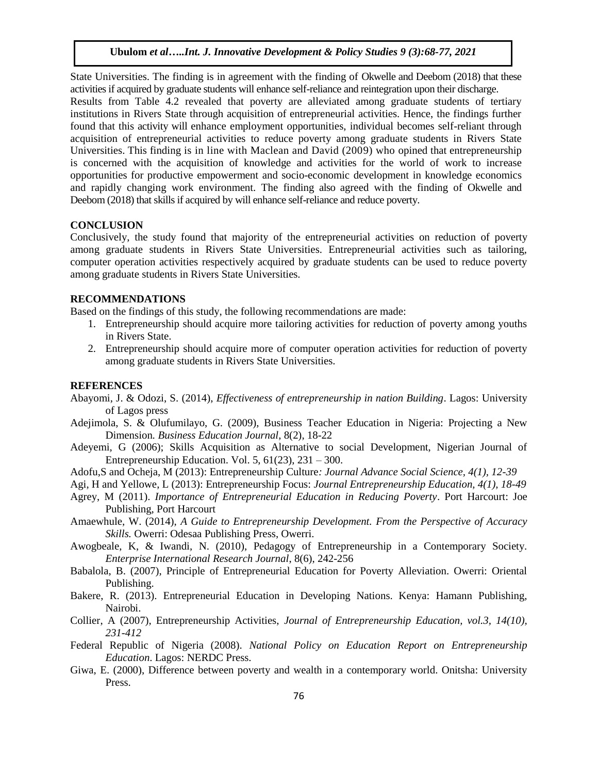State Universities. The finding is in agreement with the finding of Okwelle and Deebom (2018) that these activities if acquired by graduate students will enhance self-reliance and reintegration upon their discharge. Results from Table 4.2 revealed that poverty are alleviated among graduate students of tertiary institutions in Rivers State through acquisition of entrepreneurial activities. Hence, the findings further found that this activity will enhance employment opportunities, individual becomes self-reliant through acquisition of entrepreneurial activities to reduce poverty among graduate students in Rivers State Universities. This finding is in line with Maclean and David (2009) who opined that entrepreneurship is concerned with the acquisition of knowledge and activities for the world of work to increase opportunities for productive empowerment and socio-economic development in knowledge economics and rapidly changing work environment. The finding also agreed with the finding of Okwelle and Deebom (2018) that skills if acquired by will enhance self-reliance and reduce poverty.

# **CONCLUSION**

Conclusively, the study found that majority of the entrepreneurial activities on reduction of poverty among graduate students in Rivers State Universities. Entrepreneurial activities such as tailoring, computer operation activities respectively acquired by graduate students can be used to reduce poverty among graduate students in Rivers State Universities.

## **RECOMMENDATIONS**

Based on the findings of this study, the following recommendations are made:

- 1. Entrepreneurship should acquire more tailoring activities for reduction of poverty among youths in Rivers State.
- 2. Entrepreneurship should acquire more of computer operation activities for reduction of poverty among graduate students in Rivers State Universities.

## **REFERENCES**

- Abayomi, J. & Odozi, S. (2014), *Effectiveness of entrepreneurship in nation Building*. Lagos: University of Lagos press
- Adejimola, S. & Olufumilayo, G. (2009), Business Teacher Education in Nigeria: Projecting a New Dimension*. Business Education Journal*, 8(2), 18-22
- Adeyemi, G (2006); Skills Acquisition as Alternative to social Development, Nigerian Journal of Entrepreneurship Education. Vol. 5,  $61(23)$ ,  $231 - 300$ .
- Adofu,S and Ocheja, M (2013): Entrepreneurship Culture*: Journal Advance Social Science, 4(1), 12-39*

Agi, H and Yellowe, L (2013): Entrepreneurship Focus: *Journal Entrepreneurship Education, 4(1), 18-49*

- Agrey, M (2011). *Importance of Entrepreneurial Education in Reducing Poverty*. Port Harcourt: Joe Publishing, Port Harcourt
- Amaewhule, W. (2014), *A Guide to Entrepreneurship Development. From the Perspective of Accuracy Skills.* Owerri: Odesaa Publishing Press, Owerri.
- Awogbeale, K, & Iwandi, N. (2010), Pedagogy of Entrepreneurship in a Contemporary Society. *Enterprise International Research Journal*, 8(6), 242-256
- Babalola, B. (2007), Principle of Entrepreneurial Education for Poverty Alleviation. Owerri: Oriental Publishing.
- Bakere, R. (2013). Entrepreneurial Education in Developing Nations. Kenya: Hamann Publishing, Nairobi.
- Collier, A (2007), Entrepreneurship Activities, *Journal of Entrepreneurship Education, vol.3, 14(10), 231-412*
- Federal Republic of Nigeria (2008). *National Policy on Education Report on Entrepreneurship Education*. Lagos: NERDC Press.
- Giwa, E. (2000), Difference between poverty and wealth in a contemporary world. Onitsha: University Press.